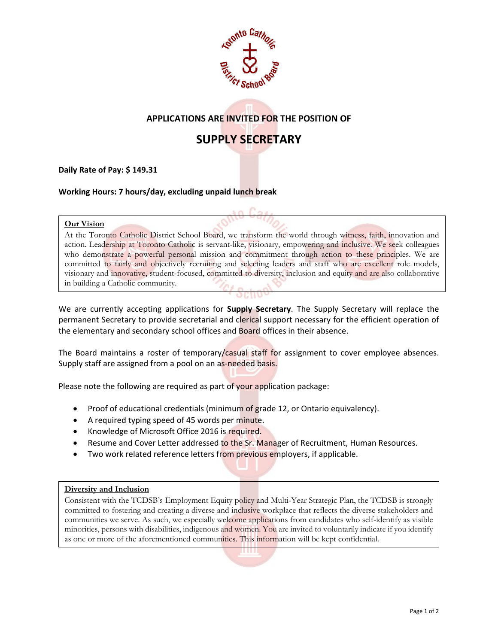

## **APPLICATIONS ARE INVITED FOR THE POSITION OF**

# **SUPPLY SECRETARY**

**Daily Rate of Pay: \$ 149.31**

**Working Hours: 7 hours/day, excluding unpaid lunch break**

#### **Our Vision**

At the Toronto Catholic District School Board, we transform the world through witness, faith, innovation and action. Leadership at Toronto Catholic is servant-like, visionary, empowering and inclusive. We seek colleagues who demonstrate a powerful personal mission and commitment through action to these principles. We are committed to fairly and objectively recruiting and selecting leaders and staff who are excellent role models, visionary and innovative, student-focused, committed to diversity, inclusion and equity and are also collaborative in building a Catholic community.

We are currently accepting applications for **Supply Secretary**. The Supply Secretary will replace the permanent Secretary to provide secretarial and clerical support necessary for the efficient operation of the elementary and secondary school offices and Board offices in their absence.

The Board maintains a roster of temporary/casual staff for assignment to cover employee absences. Supply staff are assigned from a pool on an as-needed basis.

Please note the following are required as part of your application package:

- Proof of educational credentials (minimum of grade 12, or Ontario equivalency).
- A required typing speed of 45 words per minute.
- Knowledge of Microsoft Office 2016 is required.
- Resume and Cover Letter addressed to the Sr. Manager of Recruitment, Human Resources.
- Two work related reference letters from previous employers, if applicable.

#### **Diversity and Inclusion**

Consistent with the TCDSB's Employment Equity policy and Multi-Year Strategic Plan, the TCDSB is strongly committed to fostering and creating a diverse and inclusive workplace that reflects the diverse stakeholders and communities we serve. As such, we especially welcome applications from candidates who self-identify as visible minorities, persons with disabilities, indigenous and women. You are invited to voluntarily indicate if you identify as one or more of the aforementioned communities. This information will be kept confidential.